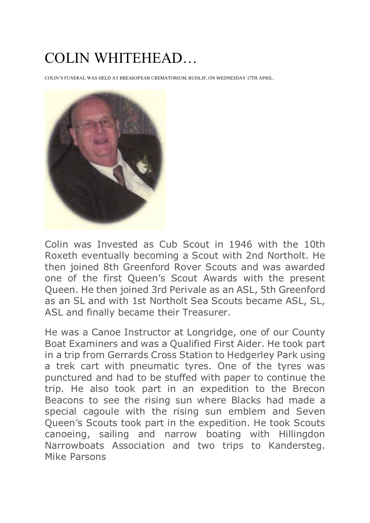## COLIN WHITEHEAD…

COLIN'S FUNERAL WAS HELD AT BREAKSPEAR CREMATORIUM, RUISLIP, ON WEDNESDAY 17TH APRIL.



Colin was Invested as Cub Scout in 1946 with the 10th Roxeth eventually becoming a Scout with 2nd Northolt. He then joined 8th Greenford Rover Scouts and was awarded one of the first Queen's Scout Awards with the present Queen. He then joined 3rd Perivale as an ASL, 5th Greenford as an SL and with 1st Northolt Sea Scouts became ASL, SL, ASL and finally became their Treasurer.

He was a Canoe Instructor at Longridge, one of our County Boat Examiners and was a Qualified First Aider. He took part in a trip from Gerrards Cross Station to Hedgerley Park using a trek cart with pneumatic tyres. One of the tyres was punctured and had to be stuffed with paper to continue the trip. He also took part in an expedition to the Brecon Beacons to see the rising sun where Blacks had made a special cagoule with the rising sun emblem and Seven Queen's Scouts took part in the expedition. He took Scouts canoeing, sailing and narrow boating with Hillingdon Narrowboats Association and two trips to Kandersteg. Mike Parsons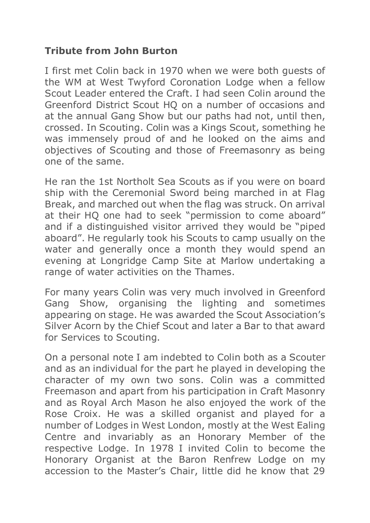## **Tribute from John Burton**

I first met Colin back in 1970 when we were both guests of the WM at West Twyford Coronation Lodge when a fellow Scout Leader entered the Craft. I had seen Colin around the Greenford District Scout HQ on a number of occasions and at the annual Gang Show but our paths had not, until then, crossed. In Scouting. Colin was a Kings Scout, something he was immensely proud of and he looked on the aims and objectives of Scouting and those of Freemasonry as being one of the same.

He ran the 1st Northolt Sea Scouts as if you were on board ship with the Ceremonial Sword being marched in at Flag Break, and marched out when the flag was struck. On arrival at their HQ one had to seek "permission to come aboard" and if a distinguished visitor arrived they would be "piped aboard". He regularly took his Scouts to camp usually on the water and generally once a month they would spend an evening at Longridge Camp Site at Marlow undertaking a range of water activities on the Thames.

For many years Colin was very much involved in Greenford Gang Show, organising the lighting and sometimes appearing on stage. He was awarded the Scout Association's Silver Acorn by the Chief Scout and later a Bar to that award for Services to Scouting.

On a personal note I am indebted to Colin both as a Scouter and as an individual for the part he played in developing the character of my own two sons. Colin was a committed Freemason and apart from his participation in Craft Masonry and as Royal Arch Mason he also enjoyed the work of the Rose Croix. He was a skilled organist and played for a number of Lodges in West London, mostly at the West Ealing Centre and invariably as an Honorary Member of the respective Lodge. In 1978 I invited Colin to become the Honorary Organist at the Baron Renfrew Lodge on my accession to the Master's Chair, little did he know that 29